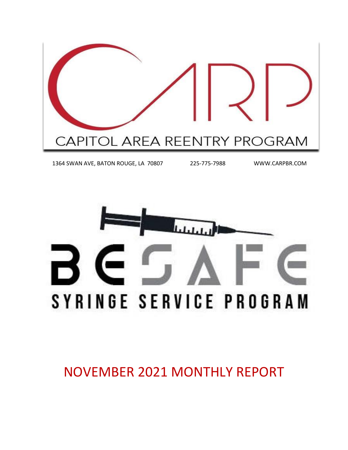

1364 SWAN AVE, BATON ROUGE, LA 70807 225-775-7988 WWW.CARPBR.COM



NOVEMBER 2021 MONTHLY REPORT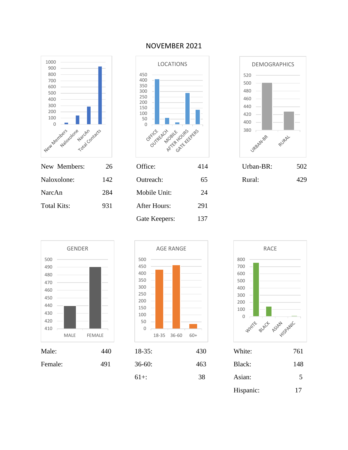

#### NOVEMBER 2021





Male: 440 18-35: 430 White: 761 MALE FEMALE GENDER



Gate Keepers: 137



| Male:   | 440 | $18-35:$ | 430 | White:    | 761            |
|---------|-----|----------|-----|-----------|----------------|
| Female: | 491 | $36-60:$ | 463 | Black:    | 148            |
|         |     | $61+$ :  | 38  | Asian:    | 5 <sup>5</sup> |
|         |     |          |     | Hispanic: | 17             |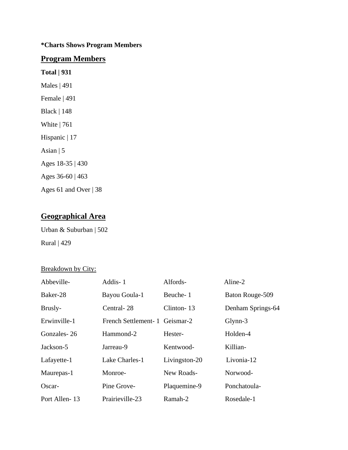#### **\*Charts Shows Program Members**

#### **Program Members**

**Total | 931** Males | 491 Female | 491 Black | 148 White | 761 Hispanic | 17 Asian  $| 5$ Ages 18-35 | 430 Ages 36-60 | 463 Ages 61 and Over | 38

### **Geographical Area**

Urban & Suburban | 502 Rural | 429

#### Breakdown by City:

| Abbeville-    | Addis-1                        | Alfords-      | Aline-2           |
|---------------|--------------------------------|---------------|-------------------|
| Baker-28      | Bayou Goula-1                  | Beuche-1      | Baton Rouge-509   |
| Brusly-       | Central-28                     | Clinton-13    | Denham Springs-64 |
| Erwinville-1  | French Settlement- 1 Geismar-2 |               | $Glynn-3$         |
| Gonzales-26   | Hammond-2                      | Hester-       | Holden-4          |
| Jackson-5     | Jarreau-9                      | Kentwood-     | Killian-          |
| Lafayette-1   | Lake Charles-1                 | Livingston-20 | Livonia-12        |
| Maurepas-1    | Monroe-                        | New Roads-    | Norwood-          |
| Oscar-        | Pine Grove-                    | Plaquemine-9  | Ponchatoula-      |
| Port Allen-13 | Prairieville-23                | Ramah-2       | Rosedale-1        |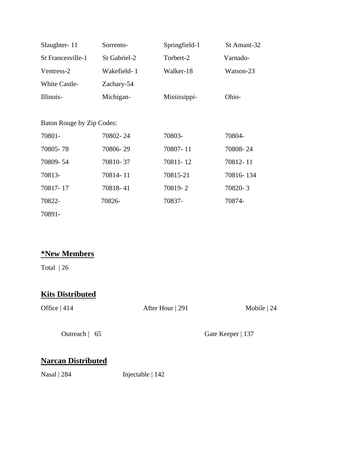| Slaughter-11              | Sorrento-    | Springfield-1 | St Amant-32 |
|---------------------------|--------------|---------------|-------------|
| St Francesville-1         | St Gabriel-2 | Torbert-2     | Varnado-    |
| Ventress-2                | Wakefield-1  | Walker-18     | Watson-23   |
| <b>White Castle-</b>      | Zachary-54   |               |             |
| Illinois-                 | Michigan-    | Mississippi-  | Ohio-       |
|                           |              |               |             |
| Baton Rouge by Zip Codes: |              |               |             |
| 70801-                    | 70802-24     | 70803-        | 70804-      |
| 70805-78                  | 70806-29     | 70807-11      | 70808-24    |
| 70809-54                  | 70810-37     | 70811-12      | 70812-11    |
| 70813-                    | 70814-11     | 70815-21      | 70816-134   |
| 70817-17                  | 70818-41     | 70819-2       | 70820-3     |
| 70822-                    | 70826-       | 70837-        | 70874-      |
| 70891-                    |              |               |             |

# **\*New Members**

Total | 26

# **Kits Distributed**

Office | 414 After Hour | 291 Mobile | 24 Outreach | 65 Gate Keeper | 137

# **Narcan Distributed**

Nasal | 284 Injectable | 142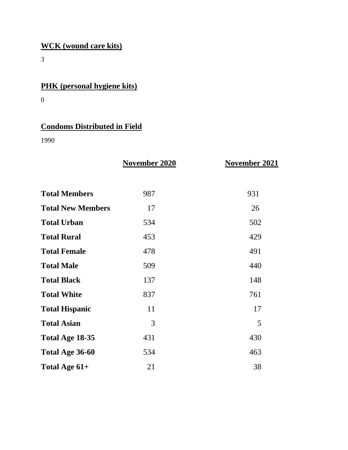# **WCK (wound care kits)**

3

# **PHK (personal hygiene kits)**

0

# **Condoms Distributed in Field**

1990

|                          | November 2020 | <b>November 2021</b> |
|--------------------------|---------------|----------------------|
| <b>Total Members</b>     | 987           | 931                  |
| <b>Total New Members</b> | 17            | 26                   |
| <b>Total Urban</b>       | 534           | 502                  |
| <b>Total Rural</b>       | 453           | 429                  |
| <b>Total Female</b>      | 478           | 491                  |
| <b>Total Male</b>        | 509           | 440                  |
| <b>Total Black</b>       | 137           | 148                  |
| <b>Total White</b>       | 837           | 761                  |
| <b>Total Hispanic</b>    | 11            | 17                   |
| <b>Total Asian</b>       | 3             | 5                    |
| Total Age 18-35          | 431           | 430                  |
| Total Age 36-60          | 534           | 463                  |
| Total Age 61+            | 21            | 38                   |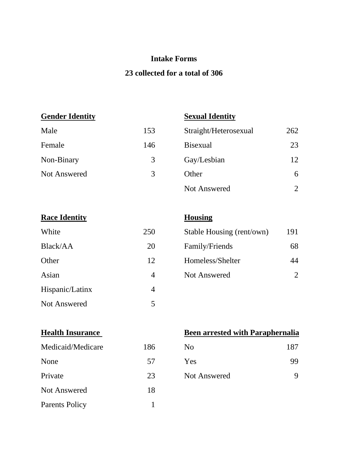### **Intake Forms**

### **23 collected for a total of 306**

**Gender Identity Sexual Identity**

| Male         | 153 | Straight/Heterosexual | 262 |
|--------------|-----|-----------------------|-----|
| Female       | 146 | <b>Bisexual</b>       | 23  |
| Non-Binary   | 3   | Gay/Lesbian           | 12  |
| Not Answered | 3   | Other                 | 6   |
|              |     | Not Answered          |     |

| White               | 250 |
|---------------------|-----|
| Black/AA            | 20  |
| Other               | 12  |
| Asian               |     |
| Hispanic/Latinx     |     |
| <b>Not Answered</b> | 5   |

# **Housing**

| White    | 250 | Stable Housing (rent/own) | 191 |
|----------|-----|---------------------------|-----|
| Black/AA | 20  | Family/Friends            | 68  |
| Other    | 12  | Homeless/Shelter          | 44  |
| Asian    | 4   | <b>Not Answered</b>       |     |

| Medicaid/Medicare     | 186 | N <sub>0</sub>      | 187 |
|-----------------------|-----|---------------------|-----|
| None                  | 57  | Yes                 | 99  |
| Private               | 23  | <b>Not Answered</b> | 9   |
| <b>Not Answered</b>   | 18  |                     |     |
| <b>Parents Policy</b> |     |                     |     |

### **Health Insurance Been arrested with Paraphernalia**

| No           | 187 |
|--------------|-----|
| Yes          | 99  |
| Not Answered |     |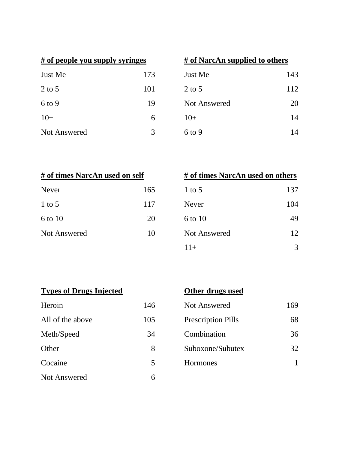| # of people you supply syringes |     | # of NarcAn supplied to others |  |
|---------------------------------|-----|--------------------------------|--|
| Just Me                         | 173 | Just Me                        |  |
| $2$ to 5                        | 101 | $2$ to 5                       |  |
| $6$ to 9                        | 19  | <b>Not Answered</b>            |  |
| $10+$                           | 6   | $10+$                          |  |
| <b>Not Answered</b>             |     | $6$ to 9                       |  |

| # of people you supply syringes |     | # of NarcAn supplied to others |     |  |
|---------------------------------|-----|--------------------------------|-----|--|
| Just Me                         | 173 | Just Me                        | 143 |  |
| 2 to 5                          | 101 | 2 to 5                         | 112 |  |
| $6$ to 9                        | 19  | <b>Not Answered</b>            | 20  |  |
| $10+$                           | 6   | $10+$                          | 14  |  |
| <b>Not Answered</b>             | 3   | $6$ to 9                       | 14  |  |

| # of times NarcAn used on self |     |
|--------------------------------|-----|
| Never                          | 165 |
| $1$ to 5                       | 117 |
| 6 to 10                        | 20  |
| <b>Not Answered</b>            | 10  |
|                                |     |

| # of times NarcAn used on self |     | # of times NarcAn used on others |     |
|--------------------------------|-----|----------------------------------|-----|
| Never                          | 165 | 1 to 5                           | 137 |
| 1 to $5$                       | 117 | <b>Never</b>                     | 104 |
| 6 to 10                        | 20  | 6 to 10                          | 49  |
| <b>Not Answered</b>            | 10  | Not Answered                     | 12  |
|                                |     | $11+$                            | 3   |

|  |  | <b>Types of Drugs Injected</b> |  |
|--|--|--------------------------------|--|
|--|--|--------------------------------|--|

# **Other drugs used**

| Heroin              | 146 |
|---------------------|-----|
| All of the above    | 105 |
| Meth/Speed          | 34  |
| Other               | 8   |
| Cocaine             | 5   |
| <b>Not Answered</b> | 6   |

| Heroin           | 146 | Not Answered              | 169 |
|------------------|-----|---------------------------|-----|
| All of the above | 105 | <b>Prescription Pills</b> | 68  |
| Meth/Speed       | 34  | Combination               | 36  |
| Other            | 8   | Suboxone/Subutex          | 32  |
| Cocaine          |     | Hormones                  |     |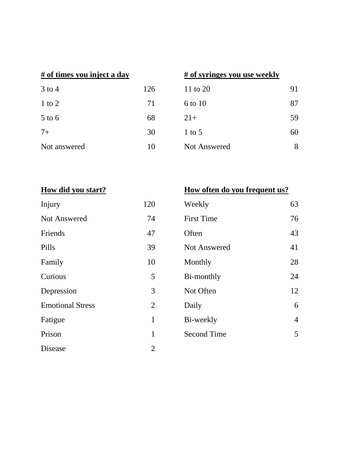| $3$ to 4     | 126 |
|--------------|-----|
| 1 to 2       | 71  |
| $5$ to 6     | 68  |
| $7+$         | 30  |
| Not answered | 10  |

### **# of times you inject a day # of syringes you use weekly**

| 126 | 11 to 20     | 91 |
|-----|--------------|----|
| 71  | 6 to 10      | 87 |
| 68  | $21+$        | 59 |
| 30  | $1$ to 5     | 60 |
| 10  | Not Answered | 8  |
|     |              |    |

| Injury                  | 120            | Weekly              | 63             |
|-------------------------|----------------|---------------------|----------------|
| Not Answered            | 74             | <b>First Time</b>   | 76             |
| Friends                 | 47             | Often               | 43             |
| Pills                   | 39             | <b>Not Answered</b> | 41             |
| Family                  | 10             | Monthly             | 28             |
| Curious                 | 5              | Bi-monthly          | 24             |
| Depression              | 3              | Not Often           | 12             |
| <b>Emotional Stress</b> | $\overline{2}$ | Daily               | 6              |
| Fatigue                 | $\mathbf{1}$   | Bi-weekly           | $\overline{4}$ |
| Prison                  | $\mathbf{1}$   | <b>Second Time</b>  | 5              |
| Disease                 | $\overline{2}$ |                     |                |

# **How did you start? How often do you frequent us?**

|       | Weekly              | 63 |
|-------|---------------------|----|
|       | <b>First Time</b>   | 76 |
| Often |                     | 43 |
|       | <b>Not Answered</b> | 41 |
|       | Monthly             | 28 |
|       | Bi-monthly          | 24 |
|       | Not Often           | 12 |
| Daily |                     | 6  |
|       | Bi-weekly           | 4  |
|       | <b>Second Time</b>  | 5  |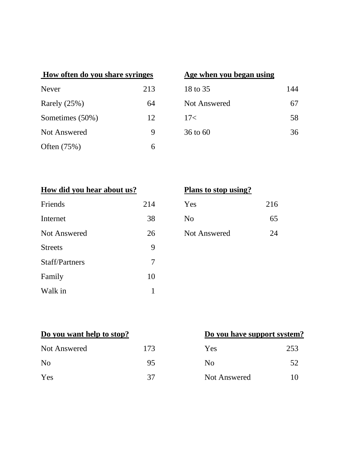| How often do you share syringes |     | Age when you began using |     |
|---------------------------------|-----|--------------------------|-----|
| Never                           | 213 | 18 to 35                 | 144 |
| Rarely $(25%)$                  | 64  | <b>Not Answered</b>      | 67  |
| Sometimes (50%)                 | 12  | 17<                      | 58  |
| Not Answered                    | 9   | 36 to 60                 | 36  |
| Often $(75%)$                   | 6   |                          |     |

### **Age when you began using**

| 18 to 35            | 144 |
|---------------------|-----|
| <b>Not Answered</b> | 67  |
| 17<                 | 58  |
| 36 to 60            | 36  |

| How did you hear about us? |     | Plans to stop using? |     |
|----------------------------|-----|----------------------|-----|
| Friends                    | 214 | Yes                  | 216 |
| Internet                   | 38  | N <sub>o</sub>       | 65  |
| <b>Not Answered</b>        | 26  | <b>Not Answered</b>  | 24  |
| <b>Streets</b>             | 9   |                      |     |
| <b>Staff/Partners</b>      | 7   |                      |     |
| Family                     | 10  |                      |     |
| Walk in                    |     |                      |     |

### **Plans to stop using?**

| 4 | Yes          | 216 |
|---|--------------|-----|
| 8 | No           | 65  |
| 6 | Not Answered | 9Δ  |

| <b>Not Answered</b> | 173 | Yes          | 253    |
|---------------------|-----|--------------|--------|
| No                  | 95  | No           | 52     |
| Yes                 | 37  | Not Answered | $10\,$ |

# **Do you want help to stop? Do you have support system?**

| Yes            | 253 |
|----------------|-----|
| N <sub>0</sub> | 52  |
| Not Answered   | 10  |